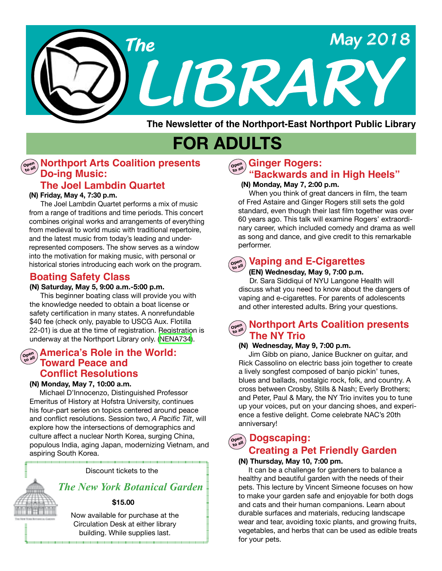

**The Newsletter of the Northport-East Northport Public Library**

# **FOR ADULTS**

### **Do-ing Music: Morthport Arts Coalition presents**

### **The Joel Lambdin Quartet**

#### **(N) Friday, May 4, 7:30 p.m.**

 The Joel Lambdin Quartet performs a mix of music from a range of traditions and time periods. This concert combines original works and arrangements of everything from medieval to world music with traditional repertoire, and the latest music from today's leading and underrepresented composers. The show serves as a window into the motivation for making music, with personal or historical stories introducing each work on the program.

### **Boating Safety Class**

#### **(N) Saturday, May 5, 9:00 a.m.-5:00 p.m.**

 This beginner boating class will provide you with the knowledge needed to obtain a boat license or safety certification in many states. A nonrefundable \$40 fee (check only, payable to USCG Aux. Flotilla 22-01) is due at the time of registration. Registration is underway at the Northport Library only. [\(NENA734\)](https://search.livebrary.com/record%3Dg1080933~S43).

### **America's Role in the World: Toward Peace and Conflict Resolutions**

#### **(N) Monday, May 7, 10:00 a.m.**

Michael D'Innocenzo, Distinguished Professor Emeritus of History at Hofstra University, continues his four-part series on topics centered around peace and conflict resolutions. Session two, *A Pacific Tilt*, will explore how the intersections of demographics and culture affect a nuclear North Korea, surging China, populous India, aging Japan, modernizing Vietnam, and aspiring South Korea.

Discount tickets to the

### *The New York Botanical Garden*

#### **\$15.00**

Now available for purchase at the Circulation Desk at either library building. While supplies last. 

### **Ginger Rogers: "Backwards and in High Heels"**

#### **(N) Monday, May 7, 2:00 p.m.**

 When you think of great dancers in film, the team of Fred Astaire and Ginger Rogers still sets the gold standard, even though their last film together was over 60 years ago. This talk will examine Rogers' extraordinary career, which included comedy and drama as well as song and dance, and give credit to this remarkable performer.

#### **Open Vaping and E-Cigarettes**

#### **(EN) Wednesday, May 9, 7:00 p.m.**

 Dr. Sara Siddiqui of NYU Langone Health will discuss what you need to know about the dangers of vaping and e-cigarettes. For parents of adolescents and other interested adults. Bring your questions.

### **Open Northport Arts Coalition presents The NY Trio**

#### **(N) Wednesday, May 9, 7:00 p.m.**

 Jim Gibb on piano, Janice Buckner on guitar, and Rick Cassolino on electric bass join together to create a lively songfest composed of banjo pickin' tunes, blues and ballads, nostalgic rock, folk, and country. A cross between Crosby, Stills & Nash; Everly Brothers; and Peter, Paul & Mary, the NY Trio invites you to tune up your voices, put on your dancing shoes, and experience a festive delight. Come celebrate NAC's 20th anniversary!

#### **Dogscaping: Open to all**

## **Creating a Pet Friendly Garden**

#### **(N) Thursday, May 10, 7:00 pm.**

 It can be a challenge for gardeners to balance a healthy and beautiful garden with the needs of their pets. This lecture by Vincent Simeone focuses on how to make your garden safe and enjoyable for both dogs and cats and their human companions. Learn about durable surfaces and materials, reducing landscape wear and tear, avoiding toxic plants, and growing fruits, vegetables, and herbs that can be used as edible treats for your pets.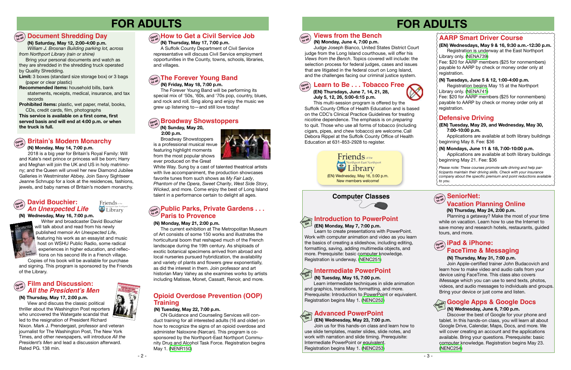### **Computer Classes**



## **FOR ADULTS FOR ADULTS**



### **Defensive Driving**

*Please note: These courses promote safe driving and help participants maintain their driving skills. Check with your insurance company about the specific premium and point reductions available to you.*

### **AARP Smart Driver Course**

**(EN) Tuesday, May 29, and Wednesday, May 30, 7:00-10:00 p.m.**

Applications are available at both library buildings beginning May 8. Fee: \$36

#### **Introduction to PowerPoint (EN) Monday, May 7, 7:00 p.m. Hands On**

 Learn to create presentations with PowerPoint. Work with computer animation and video as you learn the basics of creating a slideshow, including editing, formatting, saving, adding multimedia objects, and more. Prerequisite: basic computer knowledge. Registration is underway. ([NENC251](https://search.livebrary.com/record%3Dg1003402~S43))

Fee: \$20 for AARP members (\$25 for nonmembers) payable to AARP by check or money order only at registration.

 **(N) Monday, May 14, 7:00 p.m.**

they are shredded in the shredding truck operated<br>by Quality Shredding Bring your personal documents and watch as by Quality Shredding.

2018 is a big year for Britain's Royal Family: Will and Kate's next prince or princess will be born; Harry and Meghan will join the UK and US in holy matrimony; and the Queen will unveil her new Diamond Jubilee Galleries in Westminster Abbey. Join Savvy Sightseer Jeanne Schnupp for a look at the residences, fashions, jewels, and baby names of Britain's modern monarchy.

Writer and broadcaster David Bouchier will talk about and read from his newly published memoir *An Unexpected Life*, featuring his work as an essayist and music host on WSHU Public Radio, some radical experiences in higher education, and reflections on his second life in a French village.

**(EN) Wednesdays, May 9 & 16, 9:30 a.m.-12:30 p.m.** Registration is underway at the East Northport Library only. ([NENA739](https://search.livebrary.com/record%3Dg1080799~S43))

### **Open to all Document Shredding Day**

 **(N) Saturday, May 12, 2:00-4:00 p.m.**

*William J. Brosnan Building parking lot, across from Northport Library (rain or shine)*

**Limit:** 3 boxes (standard size storage box) or 3 bags (paper or clear plastic)

**Recommended items:** household bills, bank statements, receipts, medical, insurance, and tax records

**Prohibited items:** plastic, wet paper, metal, books, CDs, credit cards, film, photographs

**This service is available on a first come, first served basis and will end at 4:00 p.m. or when the truck is full.**

#### **(N) Wednesday, May 16, 7:00 p.m.**



#### **Open to all David Bouchier:**  *An Unexpected Life*

Friends of the Northport-East North

Copies of his book will be available for purchase and signing. This program is sponsored by the Friends of the Library.

#### **(N) Thursday, May 17, 7:00 p.m.**



A Suffolk County Department of Civil Service representative will discuss Civil Service employment opportunities in the County, towns, schools, libraries, and villages.

## **Open The Forever Young Band**

### **SeniorNet: Vacation Planning Online**

### $\widehat{\mathbf{C}}_{\text{total}}^{\text{open}}$  **iPad & iPhone: FaceTime & Messaging**

### **(N) Friday, May 18, 7:00 p.m.**

The Forever Young Band will be performing its special mix of '50s, '60s, and '70s pop, country, blues, and rock and roll. Sing along and enjoy the music we grew up listening to—and still love today!

 **(N) Sunday, May 20, 2:00 p.m.**

Broadway Showstoppers is a professional musical revue featuring highlight moments from the most popular shows ever produced on the Great



#### **Open to all Broadway Showstoppers**

White Way. Sung by a cast of talented theatrical artists with live accompaniment, the production showcases favorite tunes from such shows as *My Fair Lady*, *Phantom of the Opera*, *Sweet Charity*, *West Side Story*, *Wicked*, and more. Come enjoy the best of Long Island talent in a performance certain to delight all ages.

#### **(N) Monday, May 21, 2:00 p.m.**

The current exhibition at The Metropolitan Museum of Art consists of some 150 works and illustrates the horticultural boom that reshaped much of the French landscape during the 19th century. As shiploads of exotic botanical specimens arrived from abroad and local nurseries pursued hybridization, the availability and variety of plants and flowers grew exponentially, as did the interest in them. Join professor and art historian Mary Vahey as she examines works by artists including Matisse, Monet, Cassatt, Renoir, and more.

### **Open to all Public Parks, Private Gardens . . . Paris to Provence**

#### **Open to all Britain's Modern Monarchy**

**Open to all**

### **(N) Monday, June 4, 7:00 p.m.**

Judge Joseph Bianco, United States District Court judge from the Long Island courthouse, will offer his *Views from the Bench*. Topics covered will include: the selection process for federal judges, cases and issues that are litigated in the federal court on Long Island, and the challenges facing our criminal justice system.

## **Views from the Bench**

#### **(N) Thursday, May 24, 2:00 p.m.**

 Planning a getaway? Make the most of your time while on vacation. Learn how to use the Internet to save money and research hotels, restaurants, guided tours, and more.

#### **(N) Thursday, May 31, 7:00 p.m.**

Join Apple-certified trainer John Budacovich and learn how to make video and audio calls from your device using FaceTime. This class also covers iMessage which you can use to send texts, photos, videos, and audio messages to individuals and groups. Bring your device or just come and listen.

#### **(N) Wednesday, June 6, 7:00 p.m.**

## **Google Apps & Google Docs Hands On**

 Discover the best of Google for your phone and tablet. In this hands-on class, you will learn all about Google Drive, Calendar, Maps, Docs, and more. We will cover creating an account and the applications available. Bring your questions. Prerequisite: basic computer knowledge. Registration begins May 23. [\(NENC254\)](https://search.livebrary.com/record%3Dg1081933~S43)

 **(EN) Thursdays, June 7, 14, 21, 28, July 5, 12, 26, 5:00-6:15 p.m.** 

#### **Learn to Be . . . Tobacco Free Open to all**

 This multi-session program is offered by the Suffolk County Office of Health Education and is based on the CDC's Clinical Practice Guidelines for treating nicotine dependence. The emphasis is on *preparing* to quit. Those who use all forms of tobacco (including cigars, pipes, and chew tobacco) are welcome.Call Debora Rippel at the Suffolk County Office of Health Education at 631-853-2928 to register.

 **(N) Tuesday, May 15, 7:00 p.m.**

#### **Intermediate PowerPoint Hands On**

 Learn intermediate techniques in slide animation and graphics, transitions, formatting, and more. Prerequisite: Introduction to PowerPoint or equivalent. Registration begins May 1. ([NENC252](https://search.livebrary.com/record%3Dg1025171~S43))

#### **(EN) Wednesday, May 23, 7:00 p.m.**

#### **Advanced PowerPoint Hands On**

 Join us for this hands-on class and learn how to use slide templates, master slides, slide notes, and work with narration and slide timing. Prerequisite: Intermediate PowerPoint or equivalent. Registration begins May 1. ([NENC253](https://search.livebrary.com/record%3Dg1081927~S43))



#### **(N) Tuesdays, June 5 & 12, 1:00-4:00 p.m.**

Registration begins May 15 at the Northport Library only. [\(NENA741](https://search.livebrary.com/record%3Dg1081580~S43))

Fee: \$20 for AARP members (\$25 for nonmembers) payable to AARP by check or money order only at registration.

#### **(N) Mondays, June 11 & 18, 7:00-10:00 p.m.** Applications are available at both library buildings

beginning May 21. Fee: \$36

#### **(N) Thursday, May 17, 2:00 p.m.**

View and discuss the classic political thriller about the Washington Post reporters who uncovered the Watergate scandal that led to the resignation of President Richard

#### **Open to all Film and Discussion: All the President's Men**

Nixon. Mark J. Prendergast, professor and veteran journalist for The Washington Post, The New York Times, and other newspapers, will introduce *All the President's Men* and lead a discussion afterward. Rated PG. 138 min.

#### **( N) Tuesday, May 22, 7:00 p.m.**

### **Opioid Overdose Prevention (OOP) Training**

CN Guidance and Counseling Services will conduct training for all interested adults (16 and older) on how to recognize the signs of an opioid overdose and administer Naloxone (Narcan). This program is cosponsored by the Northport-East Northport Community Drug and Alcohol Task Force. Registration begins May 1. ([NENR150\)](https://search.livebrary.com/record%3Dg1081813~S43)

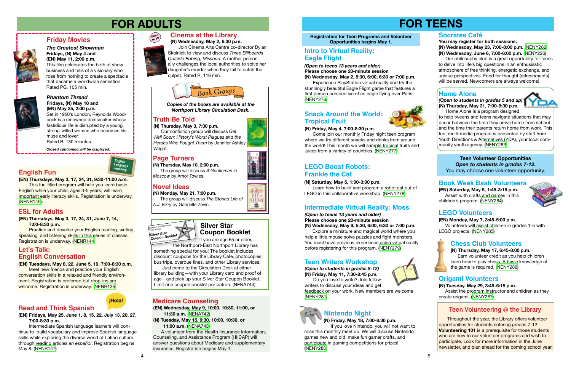*(Open to students in grades 8-12)* **(N) Friday, May 11, 7:30-8:45 p.m.** Do you love to write? Join fellow



writers to discuss your ideas and get feedback on your work. New members are welcome. ([NENY281](https://search.livebrary.com/record%3Dg1081069~S43))



### *Phantom Thread* **Fridays, (N) May 18 and (EN) May 25, 2:00 p.m.**

Set in 1950's London, Reynolds Woodcock is a renowned dressmaker whose fastidious life is disrupted by a young, strong-willed woman who becomes his muse and lover. Rated R. 130 minutes.

## **Friday Movies**



#### *The Greatest Showman* **Fridays, (N) May 4 and (EN) May 11, 2:00 p.m.**

This film celebrates the birth of show business and tells of a visionary who rose from nothing to create a spectacle that became a worldwide sensation. Rated PG. 105 min.



*Closed captioning will be displayed.*

### **Cinema at the Library**

 **(N) Wednesday, May 2, 6:30 p.m.**

**Practice and develop your English reading, writing,** speaking, and listening skills in this series of classes. Registration is underway. ([NENR144\)](https://search.livebrary.com/record%3Dg1081101~S43)

 Join Cinema Arts Centre co-director Dylan Skolnick to view and discuss *Three Billboards Outside Ebbing, Missouri*. A mother personally challenges the local authorities to solve her daughter's murder when they fail to catch the culprit. Rated R. 116 min.



## **FOR ADULTS FOR TEENS**



#### **(EN) Tuesdays, May 8, 22, June 5, 19, 7:00-8:30 p.m.**

Meet new friends and practice your English conversation skills in a relaxed and friendly environment. Registration is preferred but drop-ins are welcome. Registration is underway. ([NENR136\)](https://search.livebrary.com/record%3Dg1078766~S43)

### ¡Hola!

**(EN) Thursdays, May 3, 17, 24, 31, 9:30-11:00 a.m.**

This fun-filled program will help you learn basic English while your child, ages 3-5 years, will learn important early literacy skills. Registration is underway. ([NENR145](https://search.livebrary.com/record%3Dg1081036~S43)).

### **English Fun**



#### **(EN) Thursdays, May 3, 17, 24, 31, June 7, 14, 7:00-8:30 p.m.**

### **ESL for Adults**



### **Page Turners**

### **Novel Ideas**

**(N) Thursday, May 10, 2:00 p.m.** The group will discuss *A Gentleman in Moscow* by Amor Towles.

*Copies of the books are available at the Northport Library Circulation Desk.*

**(N) Monday, May 21, 7:00 p.m.** The group will discuss *The Storied Life of A.J. Fikry* by Gabrielle Zevin.

#### **Registration for Teen Programs and Volunteer Opportunities begins May 1.**

### **Teen Writers Workshop**

### **Socrates Café**

**You may register for both sessions.**

**(N) Wednesday, May 23, 7:00-8:00 p.m.** [\(NENY282](https://search.livebrary.com/record%3Dg1081068~S43)) **(N) Wednesday, June 6, 7:00-8:00 p.m.** ([NENY226\)](https://search.livebrary.com/record%3Dg1081583~S43)

### **English Conversation Let's Talk:**

Come join our monthly Friday night teen program where we try different snacks and drinks from around the world! This month we will sample tropical fruits and juices from a variety of countries. [\(NENY277\)](https://search.livebrary.com/record%3Dg1081065~S43)

 Our philosophy club is a great opportunity for teens to delve into life's big questions in an enthusiastic atmosphere of free thinking, energetic exchange, and unique perspectives. Food for thought (refreshments) will be served. Newcomers are always welcome!

### **Home Alone**

### **Truth Be Told**

**(N) Thursday, May 3, 7:00 p.m.** Our nonfiction group will discuss *Get Well Soon: History's Worst Plagues and the Heroes Who Fought Them* by Jennifer Ashley Wright.

**(EN) Wednesday, May 9, 10:00, 10:30, 11:00, or 11:30 a.m.** [\(NENA742](https://search.livebrary.com/record%3Dg1081645~S43))

**(N) Tuesday, May 15, 9:30, 10:00, 10:30, or 11:00 a.m.** ([NENA743](https://search.livebrary.com/record%3Dg1081647~S43))

 A volunteer from the Health Insurance Information, Counseling, and Assistance Program (HIICAP) will answer questions about Medicare and supplementary insurance. Registration begins May 1.

### **Medicare Counseling**

**(EN) Fridays, May 25, June 1, 8, 15, 22, July 13, 20, 27, 7:00-8:30 p.m.** 

Intermediate Spanish language learners will continue to build vocabulary and improve Spanish language skills while exploring the diverse world of Latino culture through reading articles *en español*. Registration begins May 8. [\(NENR147](https://search.livebrary.com/record%3Dg1081902~S43))

### **Read and Think Spanish**

*(Open to students in grades 5 and up)* **(N) Thursday, May 31, 7:00-8:30 p.m.**

Home Alone is a program designed to help tweens and teens navigate situations that may occur between the time they arrive home from school and the time their parents return home from work. This fun, multi-media program is presented by staff from Youth Directions & Alternatives (YDA), your local community youth agency. [\(NENY283\)](https://search.livebrary.com/record%3Dg1081071~S43)

### **Nintendo Night**

 **(N) Friday, May 18, 7:00-8:30 p.m.**

 If you love Nintendo, you will not want to miss this monthly meet up. We will discuss Nintendo games new and old, make fun gamer crafts, and participate in gaming competitions for prizes! [\(NENY280\)](https://search.livebrary.com/record%3Dg1081067~S43)



















*(Open to teens 13 years and older)* **Please choose one 20-minute session (N) Wednesday, May 9, 5:30, 6:00, 6:30 or 7:00 p.m.**

Explore a miniature and magical world where you help a little mouse solve puzzles and fight monsters. You must have previous experience using virtual reality before registering for this program. ([NENY279](https://search.livebrary.com/record%3Dg1081115~S43))

### **Intermediate Virtual Reality: Moss**

#### **(N) Friday, May 4, 7:00-8:30 p.m.**

### **Snack Around the World: Tropical Fruit**



#### **(N) Saturday, May 5, 1:00-3:00 p.m.**

 Learn how to build and program a robot cat out of LEGO in this collaborative workshop. [\(NENY278\)](https://search.livebrary.com/record%3Dg1081066~S43)

 *(Open to teens 13 years and older)* **Please choose one 20-minute session (N) Wednesday, May 2, 5:30, 6:00, 6:30 or 7:00 p.m.**

Experience PlayStation virtual reality and try the stunningly beautiful Eagle Flight game that features a first person perspective of an eagle flying over Paris! ([NENY276](https://search.livebrary.com/record%3Dg1081111~S43))

### **Intro to Virtual Reality: Eagle Flight**

**Teen Volunteer Opportunities** *Open to students in grades 7-12***.** You may choose one volunteer opportunity.

### **Book Week Bash Volunteers**

### **LEGO Boost Robots: Frankie the Cat**

**(EN) Saturday, May 5, 1:45-3:15 p.m.**  Assist with crafts and games in this children's program. ([NENY284](https://search.livebrary.com/record%3Dg1081174~S43))



#### **(EN) Monday, May 7, 3:45-5:00 p.m.**

 Volunteers will assist children in grades 1-5 with LEGO projects. [\(NENY285\)](https://search.livebrary.com/record%3Dg1081175~S43)

### **LEGO Volunteers**

#### **(N) Thursday, May 17, 6:45-8:00 p.m.**

 Earn volunteer credit as you help children learn how to play chess. A basic knowledge of the game is required. [\(NENY286](https://search.livebrary.com/record%3Dg1081176~S43))

### **Chess Club Volunteers**

**(N) Tuesday, May 29, 3:45-5:15 p.m.**  Assist the program instructor and children as they create origami. [\(NENY287](https://search.livebrary.com/record%3Dg1081177~S43))

### **Origami Volunteers**

If you are age 65 or older,

the Northport-East Northport Library has something special for you! The booklet includes discount coupons for the Library Cafe, photocopies, bus trips, overdue fines, and other Library services.

Just come to the Circulation Desk at either library building—with your Library card and proof of age—and pick up your Silver Star Coupon Booklet. Limit one coupon booklet per patron. (NENA744)



# **Silver Star**

Throughout the year, the Library offers volunteer opportunities for students entering grades 7-12. **Volunteering 101** is a prerequisite for those students who are new to our volunteer programs and wish to participate. Look for more information in the June newsletter, and plan ahead for the coming school year!



### **Teen Volunteering @ the Library**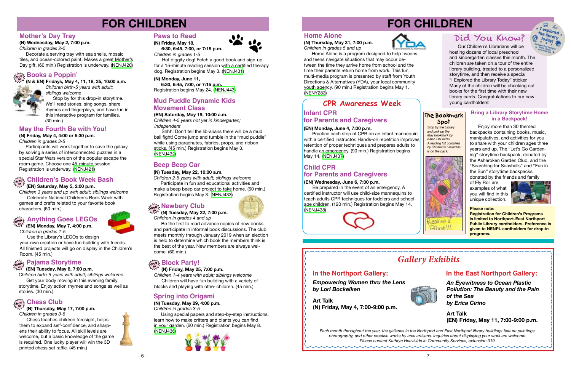# **FOR CHILDREN**



### **Beep Beep Car**

 **(N) Friday, May 25, 7:00 p.m.**

*Children 1-4 years with adult; siblings welcome* Children will have fun building with a variety of blocks and playing with other children. (45 min.)

### **(N) Tuesday, May 22, 10:00 a.m.**

*Children 2-5 years with adult; siblings welcome* Participate in fun and educational activities and make a beep beep car project to take home. (60 min.) Registration begins May 3. [\(NENJ433\)](https://search.livebrary.com/record%3Dg1081597~S43)

## **drop & Newbery Club**<br> **in**<br> **in**<br> **in**<br> **in**<br> **in**<br> **in**<br> **in**<br> **in**<br> **in**<br> **in**<br> **in**<br> **in**<br> **in**<br> **in**

## **FOR CHILDREN**

*Children 3 years and up with adult; siblings welcome* Celebrate National Children's Book Week with games and crafts related to your favorite book characters. (60 min.)

## **Spring into Origami**

#### **(N) Tuesday, May 29, 4:00 p.m.**

*Children in grades 3-5*

 Using special papers and step-by-step instructions, learn how to make critters and plants you can find in your garden. (60 min.) Registration begins May 8. ([NENJ436](https://search.livebrary.com/record%3Dg1081326~S43))





## *Gallery Exhibits*

#### **Please note:**

**Registration for Children's Programs is limited to Northport-East Northport Public Library cardholders. Preference is given to NENPL cardholders for drop-in programs.**

 **(N) Tuesday, May 22, 7:00 p.m.** *Children in grades 4 and up*

*Children birth-5 years with adult; siblings welcome* Get your body moving in this evening family

 Be the first to read advance copies of new books and participate in informal book discussions. The club meets monthly through January 2019 when an election is held to determine which book the members think is the best of the year. New members are always welcome. (60 min.)

## **Block Party!**

**(N) Wednesday, May 2, 7:00 p.m.**

 **(EN) Saturday, May 5, 2:00 p.m. in**

*Children in grades 2-5*

#### **Children's Book Week Bash drop**

 Decorate a serving tray with sea shells, mosaic tiles, and ocean-colored paint. Makes a great Mother's Day gift. (60 min.) Registration is underway. [\(NENJ420](https://search.livebrary.com/record%3Dg1080361~S43))

### **Mother's Day Tray**

**in (N & EN) Fridays, May 4, 11, 18, 25, 10:00 a.m.**



*Children birth-5 years with adult; siblings welcome* Stop by for this drop-in storytime. We'll read stories, sing songs, share rhymes and fingerplays, and have fun in

#### **drop Books a Poppin'**

this interactive program for families. (30 min.)

**(N) Friday, May 4, 4:00 or 5:30 p.m.**

*Children in grades 3-5*

 Participants will work together to save the galaxy by solving a series of interconnected puzzles in a special Star Wars version of the popular escape the room game. Choose one 45-minute session. Registration is underway. ([NENJ421](https://search.livebrary.com/record%3Dg1080364~S43))

### **May the Fourth Be with You!**

 **(EN) Monday, May 7, 4:00 p.m.** *Children in grades 1-5*

 Use the Library's LEGOs to design your own creation or have fun building with friends. All finished projects will go on display in the Children's Room. (45 min.)

#### **(EN) Tuesday, May 8, 7:00 p.m.**

## **Anything Goes LEGOs drop in**

## **Pajama Storytime drop in**

storytime. Enjoy action rhymes and songs as well as stories. (30 min.)

### $\frac{\sum\limits_{\text{drop2}}^{\text{V}}}{\sum\limits_{\text{A}}^{\text{V}}}\text{Chess Club}$

**in (N) Thursday, May 17, 7:00 p.m.** *Children in grades 3-6*

 Chess teaches children foresight, helps them to expand self-confidence, and sharpens their ability to focus. All skill levels are welcome, but a basic knowledge of the game is required. One lucky player will win the 3D printed chess set raffle. (45 min.)



 **(N) Friday, May 18,** 

 **6:30, 6:45, 7:00, or 7:15 p.m.** *Children in grades 1-5*

 Hot diggity dog! Fetch a good book and sign-up for a 15-minute reading session with a certified therapy dog. Registration begins May 3. [\(NENJ431\)](https://search.livebrary.com/record%3Dg1081363~S43)

**(EN) Saturday, May 19, 10:00 a.m.** *Children 4-5 years not yet in kindergarten; independent*

 Shhh! Don't tell the librarians there will be a mud ball fight! Come jump and tumble in the "mud puddle" while using parachutes, fabrics, props, and ribbon sticks. (45 min.) Registration begins May 3. ([NENJ432](https://search.livebrary.com/record%3Dg1081380~S43))

### **Mud Puddle Dynamic Kids Movement Class**

Our Children's Librarians will be hosting dozens of local preschool and kindergarten classes this month. The children are taken on a tour of the entire library building, treated to a personalized storytime, and then receive a special "I Explored the Library Today" sticker. Many of the children will be checking out books for the first time with their new library cards. Congratulations to our new young cardholders!

## Did You Know?



*Stop by the Library and pick up the May bookmark by Kaleo DeFreitas A reading list compiled by Children's Librarians is on the back.*



**The Bookmark Spot**



#### **(N) Thursday, May 31, 7:00 p.m.** *Children in grades 5 and up*



Home Alone is a program designed to help tweens and teens navigate situations that may occur between the time they arrive home from school and the time their parents return home from work. This fun, multi-media program is presented by staff from Youth Directions & Alternatives (YDA), your local community youth agency. (90 min.) Registration begins May 1. [\(NENY283\)](https://search.livebrary.com/record%3Dg1081071~S43)

#### **(EN) Monday, June 4, 7:00 p.m.**

Practice each step of CPR on an infant mannequin with a certified instructor. Hands-on repetition improves retention of proper techniques and prepares adults to handle an emergency. (90 min.) Registration begins May 14. [\(NENJ437\)](https://search.livebrary.com/record%3Dg1080001~S43)

### **Infant CPR for Parents and Caregivers CPR Awareness Week**

#### **(EN) Wednesday, June 6, 7:00 p.m.**

### **Child CPR for Parents and Caregivers**

Be prepared in the event of an emergency. A certified instructor will use child-size mannequins to teach adults CPR techniques for toddlers and schoolage children. (120 min.) Registration begins May 14. [\(NENJ438\)](https://search.livebrary.com/record%3Dg1080005~S43)



Enjoy more than 30 themed backpacks containing books, music, manipulatives, and activities for you to share with your children ages three years and up. The "Let's Go Gardening" storytime backpack, donated by the Asharoken Garden Club, and the "Searching for Seashells" and "Fun in the Sun" storytime backpacks, donated by the friends and family

of Ely Roll are examples of what you will find in this unique collection.



### **In the Northport Gallery:**

*Empowering Women thru the Lens by Lori Bockelken*

### **In the East Northport Gallery:**



*An Eyewitness to Ocean Plastic Pollution: The Beauty and the Pain of the Sea*

*by Erica Cirino* **Art Talk**



**(N) Friday, May 4, 7:00-9:00 p.m.**

**Art Talk (EN) Friday, May 11, 7:00-9:00 p.m.**

#### **Bring a Library Storytime Home in a Backpack!**

*Each month throughout the year, the galleries in the Northport and East Northport library buildings feature paintings, photography, and other creative works by area artisans. Inquiries about displaying your work are welcome. Please contact Kathryn Heaviside in Community Services, extension 319.*







**(N) Monday, June 11,** 

 **6:30, 6:45, 7:00, or 7:15 p.m.** Registration begins May 24. [\(NENJ443\)](https://search.livebrary.com/record%3Dg1081323~S43)